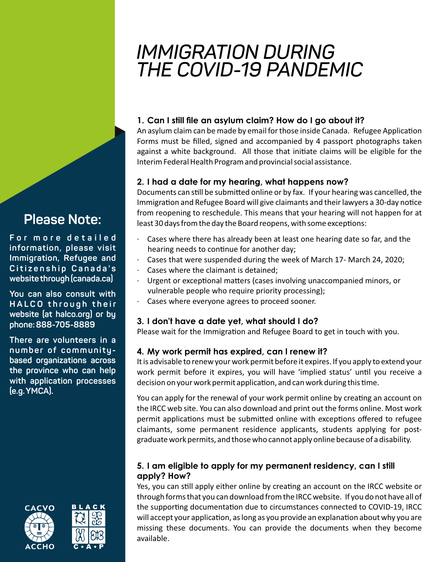# *IMMIGRATION DURING THE COVID-19 PANDEMIC*

# 1. Can I still file an asylum claim? How do I go about it?

An asylum claim can be made by email for those inside Canada. Refugee Application Forms must be filled, signed and accompanied by 4 passport photographs taken against a white background. All those that initiate claims will be eligible for the Interim Federal Health Program and provincial social assistance.

# **2. I had a date for my hearing, what happens now?**

Documents can still be submitted online or by fax. If your hearing was cancelled, the Immigration and Refugee Board will give claimants and their lawyers a 30-day notice from reopening to reschedule. This means that your hearing will not happen for at least 30 days from the day the Board reopens, with some exceptions:

- Cases where there has already been at least one hearing date so far, and the hearing needs to continue for another day;
- · Cases that were suspended during the week of March 17- March 24, 2020;
- Cases where the claimant is detained;
- Urgent or exceptional matters (cases involving unaccompanied minors, or vulnerable people who require priority processing);
- Cases where everyone agrees to proceed sooner.

# **3. I don't have a date yet, what should I do?**

Please wait for the Immigration and Refugee Board to get in touch with you.

# **4. My work permit has expired, can I renew it?**

It is advisable to renew your work permit before it expires. If you apply to extend your work permit before it expires, you will have 'implied status' until you receive a decision on your work permit application, and can work during this time.

You can apply for the renewal of your work permit online by creating an account on the IRCC web site. You can also download and print out the forms online. Most work permit applications must be submitted online with exceptions offered to refugee claimants, some permanent residence applicants, students applying for postgraduate work permits, and those who cannot apply online because of a disability.

#### **5. I am eligible to apply for my permanent residency, can I still apply? How?**

Yes, you can still apply either online by creating an account on the IRCC website or through forms that you can download from the IRCC website. If you do not have all of the supporting documentation due to circumstances connected to COVID-19, IRCC will accept your application, as long as you provide an explanation about why you are missing these documents. You can provide the documents when they become available.

# **Please Note:**

**F o r m o r e d e t a i l e d information, please visit Immigration, Refugee and**   $C$  *itizenship* Canada's **website through (canada.ca)**

**You can also consult with H A L C O t h r o u g h t h e i r website (at halco.org) or by phone: 888-705-8889** 

**There are volunteers in a number of communitybased organizations across the province who can help with application processes (e.g. YMCA).**



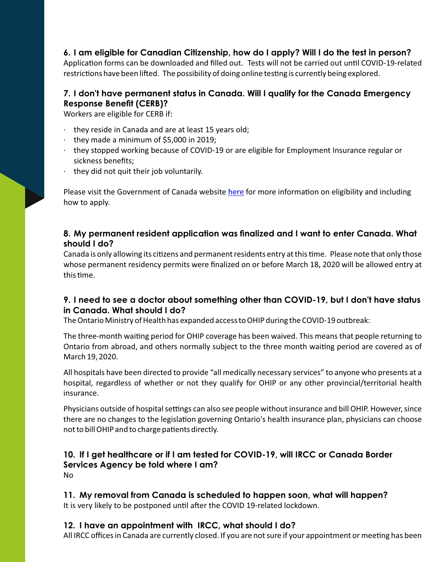**6. I am eligible for Canadian Citizenship, how do I apply? Will I do the test in person?**

Application forms can be downloaded and filled out. Tests will not be carried out until COVID-19-related restrictions have been lifted. The possibility of doing online testing is currently being explored.

# **7. I don't have permanent status in Canada. Will I qualify for the Canada Emergency Response Benefit (CERB)?**

Workers are eligible for CERB if:

- $\cdot$  they reside in Canada and are at least 15 years old;
- $\cdot$  they made a minimum of \$5,000 in 2019;
- · they stopped working because of COVID-19 or are eligible for Employment Insurance regular or sickness benefits;
- · they did not quit their job voluntarily.

Please visit the Government of Canada website [here](https://www.canada.ca/en/services/benefits/ei/cerb-application.html?utm_campaign=not-applicable&utm_medium=vanity-url&utm_source=canada-ca_coronavirus-cerb) for more information on eligibility and including how to apply.

#### **8. My permanent resident application was finalized and I want to enter Canada. What should I do?**

Canada is only allowing its citizens and permanent residents entry at this time. Please note that only those whose permanent residency permits were finalized on or before March 18, 2020 will be allowed entry at this time.

#### **9. I need to see a doctor about something other than COVID-19, but I don't have status in Canada. What should I do?**

The Ontario Ministry of Health has expanded access to OHIP during the COVID-19 outbreak:

The three-month waiting period for OHIP coverage has been waived. This means that people returning to Ontario from abroad, and others normally subject to the three month waiting period are covered as of March 19, 2020.

All hospitals have been directed to provide "all medically necessary services" to anyone who presents at a hospital, regardless of whether or not they qualify for OHIP or any other provincial/territorial health insurance.

Physicians outside of hospital settings can also see people without insurance and bill OHIP. However, since there are no changes to the legislation governing Ontario's health insurance plan, physicians can choose not to bill OHIP and to charge patients directly.

#### **10. If I get healthcare or if I am tested for COVID-19, will IRCC or Canada Border Services Agency be told where I am?** No

**11. My removal from Canada is scheduled to happen soon, what will happen?** It is very likely to be postponed until after the COVID 19-related lockdown.

#### **12. I have an appointment with IRCC, what should I do?**

All IRCC offices in Canada are currently closed. If you are not sure if your appointment or meeting has been